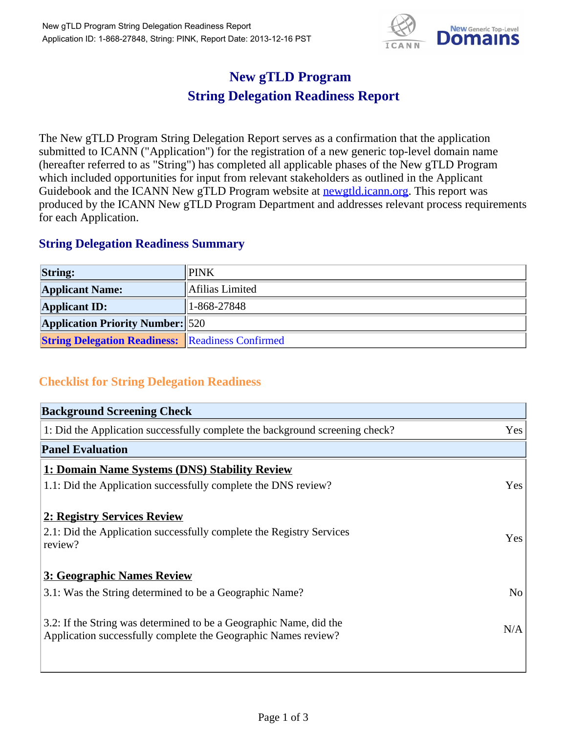

## **New gTLD Program String Delegation Readiness Report**

The New gTLD Program String Delegation Report serves as a confirmation that the application submitted to ICANN ("Application") for the registration of a new generic top-level domain name (hereafter referred to as "String") has completed all applicable phases of the New gTLD Program which included opportunities for input from relevant stakeholders as outlined in the Applicant Guidebook and the ICANN New gTLD Program website at **newgtld.jcann.org**. This report was produced by the ICANN New gTLD Program Department and addresses relevant process requirements for each Application.

## **String Delegation Readiness Summary**

| <b>String:</b>                                          | <b>PINK</b>       |
|---------------------------------------------------------|-------------------|
| <b>Applicant Name:</b>                                  | Afilias Limited   |
| <b>Applicant ID:</b>                                    | $1 - 868 - 27848$ |
| <b>Application Priority Number:</b> 520                 |                   |
| <b>String Delegation Readiness:</b> Readiness Confirmed |                   |

## **Checklist for String Delegation Readiness**

| <b>Background Screening Check</b>                                                                                                    |                |
|--------------------------------------------------------------------------------------------------------------------------------------|----------------|
| 1: Did the Application successfully complete the background screening check?                                                         | Yes            |
| <b>Panel Evaluation</b>                                                                                                              |                |
| 1: Domain Name Systems (DNS) Stability Review                                                                                        |                |
| 1.1: Did the Application successfully complete the DNS review?                                                                       | Yes            |
| 2: Registry Services Review                                                                                                          |                |
| 2.1: Did the Application successfully complete the Registry Services<br>review?                                                      | Yes            |
| 3: Geographic Names Review                                                                                                           |                |
| 3.1: Was the String determined to be a Geographic Name?                                                                              | N <sub>o</sub> |
| 3.2: If the String was determined to be a Geographic Name, did the<br>Application successfully complete the Geographic Names review? | N/A            |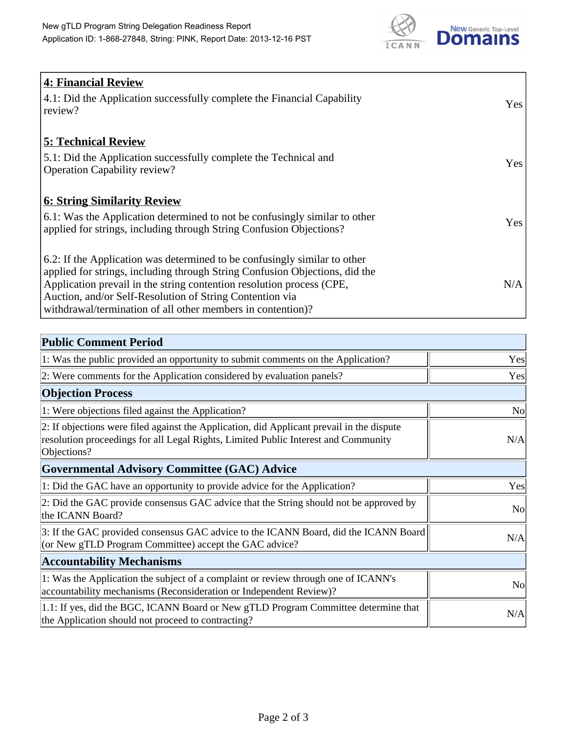

| 4: Financial Review                                                                |            |
|------------------------------------------------------------------------------------|------------|
| $\vert$ 4.1: Did the Application successfully complete the Financial Capability    | Yes        |
| review?                                                                            |            |
| <b>5: Technical Review</b>                                                         |            |
| 5.1: Did the Application successfully complete the Technical and                   | <b>Yes</b> |
| <b>Operation Capability review?</b>                                                |            |
|                                                                                    |            |
| <b>6: String Similarity Review</b>                                                 |            |
| $\vert$ 6.1: Was the Application determined to not be confusingly similar to other | Yes        |
| applied for strings, including through String Confusion Objections?                |            |
| 6.2: If the Application was determined to be confusingly similar to other          |            |
| applied for strings, including through String Confusion Objections, did the        |            |
| Application prevail in the string contention resolution process (CPE,              | N/A        |
| Auction, and/or Self-Resolution of String Contention via                           |            |
| withdrawal/termination of all other members in contention)?                        |            |

| <b>Public Comment Period</b>                                                                                                                                                                   |                |
|------------------------------------------------------------------------------------------------------------------------------------------------------------------------------------------------|----------------|
| 1: Was the public provided an opportunity to submit comments on the Application?                                                                                                               | Yes            |
| 2: Were comments for the Application considered by evaluation panels?                                                                                                                          | Yes            |
| <b>Objection Process</b>                                                                                                                                                                       |                |
| 1: Were objections filed against the Application?                                                                                                                                              | N <sub>o</sub> |
| 2: If objections were filed against the Application, did Applicant prevail in the dispute<br>resolution proceedings for all Legal Rights, Limited Public Interest and Community<br>Objections? | N/A            |
| Governmental Advisory Committee (GAC) Advice                                                                                                                                                   |                |
| 1: Did the GAC have an opportunity to provide advice for the Application?                                                                                                                      | Yes            |
| 2: Did the GAC provide consensus GAC advice that the String should not be approved by<br>the ICANN Board?                                                                                      | <b>No</b>      |
| 3: If the GAC provided consensus GAC advice to the ICANN Board, did the ICANN Board<br>(or New gTLD Program Committee) accept the GAC advice?                                                  | N/A            |
| <b>Accountability Mechanisms</b>                                                                                                                                                               |                |
| 1: Was the Application the subject of a complaint or review through one of ICANN's<br>accountability mechanisms (Reconsideration or Independent Review)?                                       | <b>No</b>      |
| 1.1: If yes, did the BGC, ICANN Board or New gTLD Program Committee determine that<br>the Application should not proceed to contracting?                                                       | N/A            |